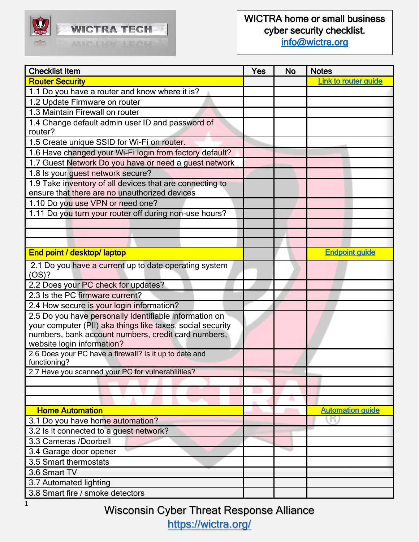

| <b>Checklist Item</b>                                                  | Yes | <b>No</b> | <b>Notes</b>                |
|------------------------------------------------------------------------|-----|-----------|-----------------------------|
| <b>Router Security</b>                                                 |     |           | <b>Link to router guide</b> |
| 1.1 Do you have a router and know where it is?                         |     |           |                             |
| 1.2 Update Firmware on router                                          |     |           |                             |
| 1.3 Maintain Firewall on router                                        |     |           |                             |
| 1.4 Change default admin user ID and password of                       |     |           |                             |
| router?                                                                |     |           |                             |
| 1.5 Create unique SSID for Wi-Fi on router.                            |     |           |                             |
| 1.6 Have changed your Wi-Fi login from factory default?                |     |           |                             |
| 1.7 Guest Network Do you have or need a guest network                  |     |           |                             |
| 1.8 Is your guest network secure?                                      |     |           |                             |
| 1.9 Take inventory of all devices that are connecting to               |     |           |                             |
| ensure that there are no unauthorized devices                          |     |           |                             |
| 1.10 Do you use VPN or need one?                                       |     |           |                             |
| 1.11 Do you turn your router off during non-use hours?                 |     |           |                             |
|                                                                        |     |           |                             |
|                                                                        |     |           |                             |
|                                                                        |     |           |                             |
| End point / desktop/ laptop                                            |     |           | <b>Endpoint guide</b>       |
| 2.1 Do you have a current up to date operating system                  |     |           |                             |
| (OS)?                                                                  |     |           |                             |
| 2.2 Does your PC check for updates?                                    |     |           |                             |
| 2.3 Is the PC firmware current?                                        |     |           |                             |
| 2.4 How secure is your login information?                              |     |           |                             |
| 2.5 Do you have personally Identifiable information on                 |     |           |                             |
| your computer (PII) aka things like taxes, social security             |     |           |                             |
| numbers, bank account numbers, credit card numbers,                    |     |           |                             |
| website login information?                                             |     |           |                             |
| 2.6 Does your PC have a firewall? Is it up to date and<br>functioning? |     |           |                             |
| 2.7 Have you scanned your PC for vulnerabilities?                      |     |           |                             |
|                                                                        |     |           |                             |
|                                                                        |     |           |                             |
|                                                                        |     | л         |                             |
| <b>Home Automation</b>                                                 |     |           | <b>Automation guide</b>     |
| 3.1 Do you have home automation?                                       |     |           |                             |
| 3.2 Is it connected to a guest network?                                |     |           |                             |
| 3.3 Cameras /Doorbell                                                  |     |           |                             |
| 3.4 Garage door opener                                                 |     |           |                             |
| 3.5 Smart thermostats                                                  |     |           |                             |
| 3.6 Smart TV                                                           |     |           |                             |
| 3.7 Automated lighting                                                 |     |           |                             |
| 3.8 Smart fire / smoke detectors                                       |     |           |                             |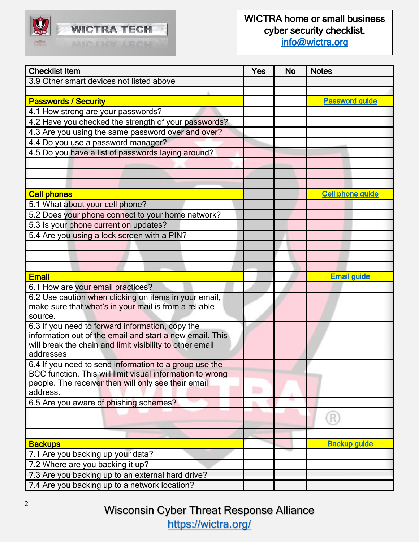

| <b>Checklist Item</b>                                           | Yes | <b>No</b> | <b>Notes</b>            |
|-----------------------------------------------------------------|-----|-----------|-------------------------|
| 3.9 Other smart devices not listed above                        |     |           |                         |
|                                                                 |     |           |                         |
| <b>Passwords / Security</b>                                     |     |           | <b>Password guide</b>   |
| 4.1 How strong are your passwords?                              |     |           |                         |
| 4.2 Have you checked the strength of your passwords?            |     |           |                         |
| 4.3 Are you using the same password over and over?              |     |           |                         |
| 4.4 Do you use a password manager?                              |     |           |                         |
| 4.5 Do you have a list of passwords laying around?              |     |           |                         |
|                                                                 |     |           |                         |
|                                                                 |     |           |                         |
|                                                                 |     |           |                         |
| <b>Cell phones</b>                                              |     |           | <b>Cell phone guide</b> |
| 5.1 What about your cell phone?                                 |     |           |                         |
| 5.2 Does your phone connect to your home network?               |     |           |                         |
| 5.3 Is your phone current on updates?                           |     |           |                         |
| 5.4 Are you using a lock screen with a PIN?                     |     |           |                         |
|                                                                 |     |           |                         |
|                                                                 |     |           |                         |
|                                                                 |     |           |                         |
| <b>Email</b>                                                    |     |           | <b>Email guide</b>      |
| 6.1 How are your email practices?                               |     |           |                         |
| 6.2 Use caution when clicking on items in your email,           |     |           |                         |
| make sure that what's in your mail is from a reliable           |     |           |                         |
| source.                                                         |     |           |                         |
| 6.3 If you need to forward information, copy the                |     |           |                         |
| information out of the email and start a new email. This        |     |           |                         |
| will break the chain and limit visibility to other email        |     |           |                         |
| addresses                                                       |     |           |                         |
| 6.4 If you need to send information to a group use the          |     |           |                         |
| BCC function. This will limit visual information to wrong       |     |           |                         |
| people. The receiver then will only see their email<br>address. |     |           |                         |
| 6.5 Are you aware of phishing schemes?                          |     |           |                         |
|                                                                 |     |           |                         |
|                                                                 |     |           | 主な                      |
|                                                                 |     |           |                         |
| <b>Backups</b>                                                  |     |           | <b>Backup guide</b>     |
| 7.1 Are you backing up your data?                               |     |           |                         |
| 7.2 Where are you backing it up?                                |     |           |                         |
| 7.3 Are you backing up to an external hard drive?               |     |           |                         |
| 7.4 Are you backing up to a network location?                   |     |           |                         |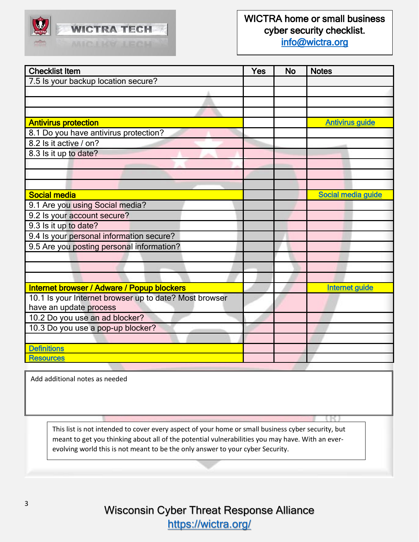

#### WICTRA home or small business cyber security checklist. [info@wictra.org](mailto:info@wictra.org)

| <b>Checklist Item</b>                                  | Yes | <b>No</b> | <b>Notes</b>           |
|--------------------------------------------------------|-----|-----------|------------------------|
| 7.5 Is your backup location secure?                    |     |           |                        |
|                                                        |     |           |                        |
|                                                        |     |           |                        |
|                                                        |     |           |                        |
| <b>Antivirus protection</b>                            |     |           | <b>Antivirus guide</b> |
| 8.1 Do you have antivirus protection?                  |     |           |                        |
| 8.2 ls it active / on?                                 |     |           |                        |
| 8.3 Is it up to date?                                  |     |           |                        |
|                                                        |     |           |                        |
|                                                        |     |           |                        |
|                                                        |     |           |                        |
| <b>Social media</b>                                    |     |           | Social media guide     |
| 9.1 Are you using Social media?                        |     |           |                        |
| 9.2 Is your account secure?                            |     |           |                        |
| 9.3 Is it up to date?                                  |     |           |                        |
| 9.4 Is your personal information secure?               |     |           |                        |
| 9.5 Are you posting personal information?              |     |           |                        |
|                                                        |     |           |                        |
|                                                        |     |           |                        |
|                                                        |     |           |                        |
| Internet browser / Adware / Popup blockers             |     |           | <b>Internet guide</b>  |
| 10.1 Is your Internet browser up to date? Most browser |     |           |                        |
| have an update process                                 |     |           |                        |
| 10.2 Do you use an ad blocker?                         |     |           |                        |
| 10.3 Do you use a pop-up blocker?                      |     |           |                        |
|                                                        |     |           |                        |
| <b>Definitions</b>                                     |     |           |                        |
| <b>Resources</b>                                       |     |           |                        |

Add additional notes as needed

This list is not intended to cover every aspect of your home or small business cyber security, but meant to get you thinking about all of the potential vulnerabilities you may have. With an everevolving world this is not meant to be the only answer to your cyber Security.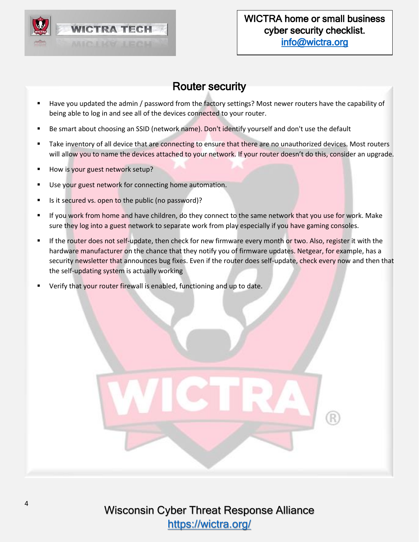

### Router security

- <span id="page-3-0"></span>Have you updated the admin / password from the factory settings? Most newer routers have the capability of being able to log in and see all of the devices connected to your router.
- Be smart about choosing an SSID (network name). Don't identify yourself and don't use the default
- Take inventory of all device that are connecting to ensure that there are no unauthorized devices. Most routers will allow you to name the devices attached to your network. If your router doesn't do this, consider an upgrade.
- **E** How is your guest network setup?
- Use your guest network for connecting home automation.
- Is it secured vs. open to the public (no password)?
- If you work from home and have children, do they connect to the same network that you use for work. Make sure they log into a guest network to separate work from play especially if you have gaming consoles.
- If the router does not self-update, then check for new firmware every month or two. Also, register it with the hardware manufacturer on the chance that they notify you of firmware updates. Netgear, for example, has a security newsletter that announces bug fixes. Even if the router does self-update, check every now and then that the self-updating system is actually working
- Verify that your router firewall is enabled, functioning and up to date.

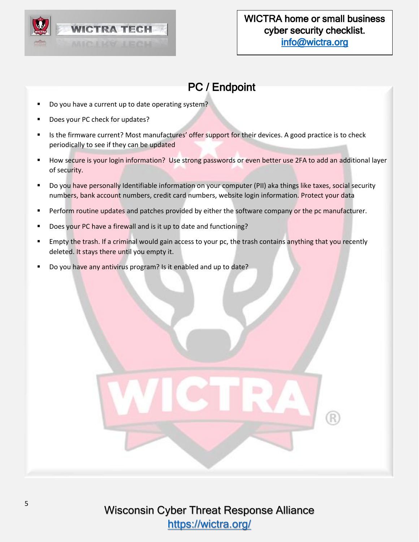

# PC / Endpoint

- <span id="page-4-0"></span>Do you have a current up to date operating system?
- Does your PC check for updates?
- Is the firmware current? Most manufactures' offer support for their devices. A good practice is to check periodically to see if they can be updated
- How secure is your login information? Use strong passwords or even better use 2FA to add an additional layer of security.
- Do you have personally Identifiable information on your computer (PII) aka things like taxes, social security numbers, bank account numbers, credit card numbers, website login information. Protect your data
- **•** Perform routine updates and patches provided by either the software company or the pc manufacturer.
- Does your PC have a firewall and is it up to date and functioning?
- Empty the trash. If a criminal would gain access to your pc, the trash contains anything that you recently deleted. It stays there until you empty it.
- Do you have any antivirus program? Is it enabled and up to date?

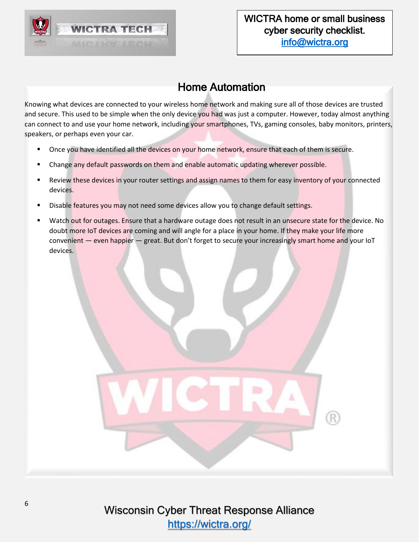

## Home Automation

<span id="page-5-0"></span>Knowing what devices are connected to your wireless home network and making sure all of those devices are trusted and secure. This used to be simple when the only device you had was just a computer. However, today almost anything can connect to and use your home network, including your smartphones, TVs, gaming consoles, baby monitors, printers, speakers, or perhaps even your car.

- Once you have identified all the devices on your home network, ensure that each of them is secure.
- Change any default passwords on them and enable automatic updating wherever possible.
- Review these devices in your router settings and assign names to them for easy inventory of your connected devices.
- Disable features you may not need some devices allow you to change default settings.
- Watch out for outages. Ensure that a hardware outage does not result in an unsecure state for the device. No doubt more IoT devices are coming and will angle for a place in your home. If they make your life more convenient — even happier — great. But don't forget to secure your increasingly smart home and your IoT devices.

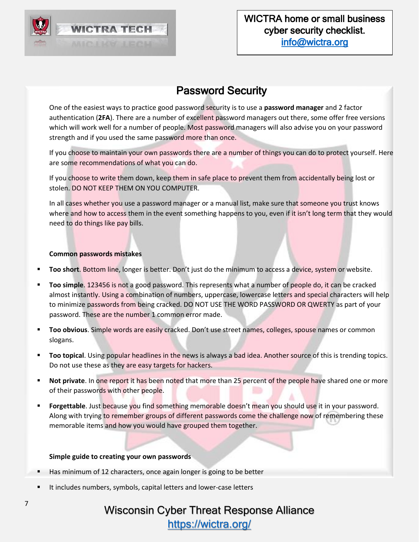

### Password Security

<span id="page-6-0"></span>One of the easiest ways to practice good password security is to use a **password manager** and 2 factor authentication (**2FA**). There are a number of excellent password managers out there, some offer free versions which will work well for a number of people. Most password managers will also advise you on your password strength and if you used the same password more than once.

If you choose to maintain your own passwords there are a number of things you can do to protect yourself. Here are some recommendations of what you can do.

If you choose to write them down, keep them in safe place to prevent them from accidentally being lost or stolen. DO NOT KEEP THEM ON YOU COMPUTER.

In all cases whether you use a password manager or a manual list, make sure that someone you trust knows where and how to access them in the event something happens to you, even if it isn't long term that they would need to do things like pay bills.

#### **Common passwords mistakes**

- **Too short**. Bottom line, longer is better. Don't just do the minimum to access a device, system or website.
- **Too simple.** 123456 is not a good password. This represents what a number of people do, it can be cracked almost instantly. Using a combination of numbers, uppercase, lowercase letters and special characters will help to minimize passwords from being cracked. DO NOT USE THE WORD PASSWORD OR QWERTY as part of your password. These are the number 1 common error made.
- **Too obvious**. Simple words are easily cracked. Don't use street names, colleges, spouse names or common slogans.
- **Too topical**. Using popular headlines in the news is always a bad idea. Another source of this is trending topics. Do not use these as they are easy targets for hackers.
- **EXECT Not private**. In one report it has been noted that more than 25 percent of the people have shared one or more of their passwords with other people.
- **Example 1** Forgettable. Just because you find something memorable doesn't mean you should use it in your password. Along with trying to remember groups of different passwords come the challenge now of remembering these memorable items and how you would have grouped them together.

#### **Simple guide to creating your own passwords**

- Has minimum of 12 characters, once again longer is going to be better
- It includes numbers, symbols, capital letters and lower-case letters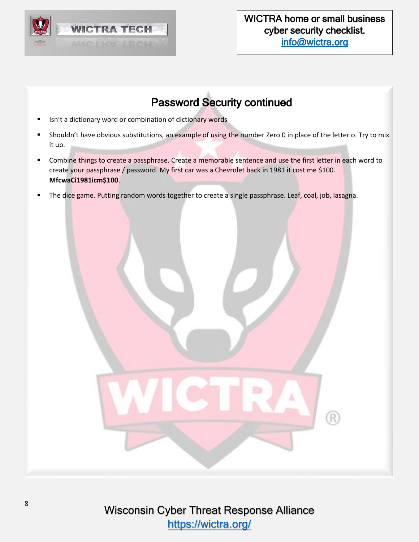

# Password Security continued

- Isn't a dictionary word or combination of dictionary words
- Shouldn't have obvious substitutions, an example of using the number Zero 0 in place of the letter o. Try to mix it up.
- Combine things to create a passphrase. Create a memorable sentence and use the first letter in each word to create your passphrase / password. My first car was a Chevrolet back in 1981 it cost me \$100. **MfcwaCi1981icm\$100**.
- The dice game. Putting random words together to create a single passphrase. Leaf, coal, job, lasagna.

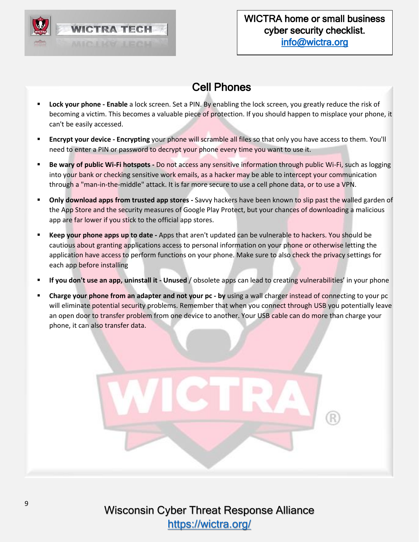

## Cell Phones

- <span id="page-8-0"></span>▪ **Lock your phone - Enable** a lock screen. Set a PIN. By enabling the lock screen, you greatly reduce the risk of becoming a victim. This becomes a valuable piece of protection. If you should happen to misplace your phone, it can't be easily accessed.
- **Encrypt your device - Encrypting** your phone will scramble all files so that only you have access to them. You'll need to enter a PIN or password to decrypt your phone every time you want to use it.
- **Be wary of public Wi-Fi hotspots -** Do not access any sensitive information through public Wi-Fi, such as logging into your bank or checking sensitive work emails, as a hacker may be able to intercept your communication through a "man-in-the-middle" attack. It is far more secure to use a cell phone data, or to use a VPN.
- **Only download apps from trusted app stores** Savvy hackers have been known to slip past the walled garden of the App Store and the security measures of Google Play Protect, but your chances of downloading a malicious app are far lower if you stick to the official app stores.
- **Keep your phone apps up to date -** Apps that aren't updated can be vulnerable to hackers. You should be cautious about granting applications access to personal information on your phone or otherwise letting the application have access to perform functions on your phone. Make sure to also check the privacy settings for each app before installing
- If you don't use an app, uninstall it Unused / obsolete apps can lead to creating vulnerabilities' in your phone
- **Charge your phone from an adapter and not your pc by using a wall charger instead of connecting to your pc** will eliminate potential security problems. Remember that when you connect through USB you potentially leave an open door to transfer problem from one device to another. Your USB cable can do more than charge your phone, it can also transfer data.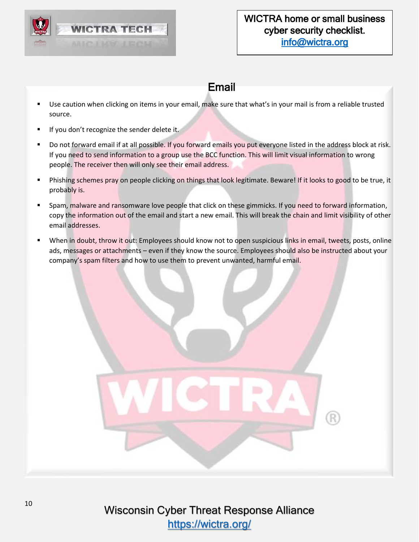

### Email

- <span id="page-9-0"></span>Use caution when clicking on items in your email, make sure that what's in your mail is from a reliable trusted source.
- If you don't recognize the sender delete it.
- Do not forward email if at all possible. If you forward emails you put everyone listed in the address block at risk. If you need to send information to a group use the BCC function. This will limit visual information to wrong people. The receiver then will only see their email address.
- Phishing schemes pray on people clicking on things that look legitimate. Beware! If it looks to good to be true, it probably is.
- Spam, malware and ransomware love people that click on these gimmicks. If you need to forward information, copy the information out of the email and start a new email. This will break the chain and limit visibility of other email addresses.
- When in doubt, throw it out: Employees should know not to open suspicious links in email, tweets, posts, online ads, messages or attachments – even if they know the source. Employees should also be instructed about your company's spam filters and how to use them to prevent unwanted, harmful email.

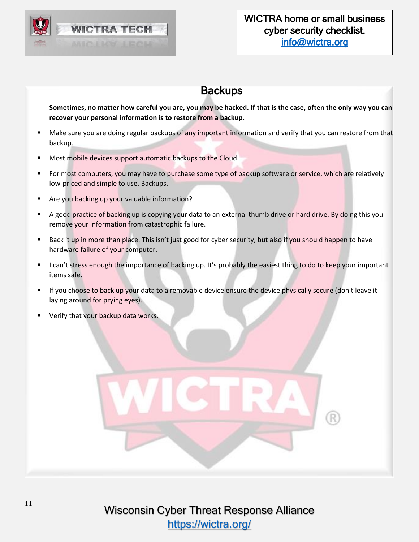

## **Backups**

<span id="page-10-0"></span>**Sometimes, no matter how careful you are, you may be hacked. If that is the case, often the only way you can recover your personal information is to restore from a backup.** 

- Make sure you are doing regular backups of any important information and verify that you can restore from that backup.
- Most mobile devices support automatic backups to the Cloud.
- For most computers, you may have to purchase some type of backup software or service, which are relatively low-priced and simple to use. Backups.
- Are you backing up your valuable information?
- **EXTED A good practice of backing up is copying your data to an external thumb drive or hard drive. By doing this you** remove your information from catastrophic failure.
- Back it up in more than place. This isn't just good for cyber security, but also if you should happen to have hardware failure of your computer.
- I can't stress enough the importance of backing up. It's probably the easiest thing to do to keep your important items safe.
- **■** If you choose to back up your data to a removable device ensure the device physically secure (don't leave it laying around for prying eyes).
- Verify that your backup data works.

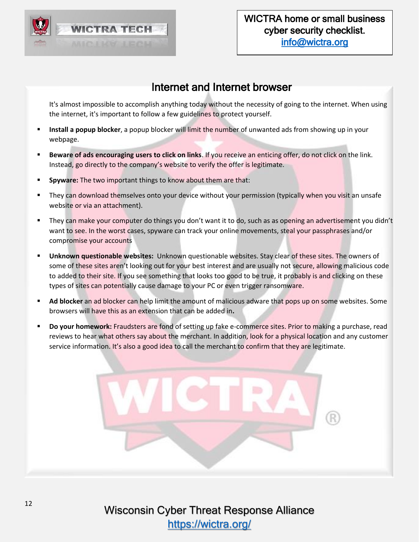

### Internet and Internet browser

<span id="page-11-0"></span>It's almost impossible to accomplish anything today without the necessity of going to the internet. When using the internet, it's important to follow a few guidelines to protect yourself.

- Install a popup blocker, a popup blocker will limit the number of unwanted ads from showing up in your webpage.
- Beware of ads encouraging users to click on links. If you receive an enticing offer, do not click on the link. Instead, go directly to the company's website to verify the offer is legitimate.
- **EXPYEE:** The two important things to know about them are that:
- They can download themselves onto your device without your permission (typically when you visit an unsafe website or via an attachment).
- They can make your computer do things you don't want it to do, such as as opening an advertisement you didn't want to see. In the worst cases, spyware can track your online movements, steal your passphrases and/or compromise your accounts
- **Unknown questionable websites:** Unknown questionable websites. Stay clear of these sites. The owners of some of these sites aren't looking out for your best interest and are usually not secure, allowing malicious code to added to their site. If you see something that looks too good to be true, it probably is and clicking on these types of sites can potentially cause damage to your PC or even trigger ransomware.
- **EXTER 10 Ad blocker an** ad blocker can help limit the amount of malicious adware that pops up on some websites. Some browsers will have this as an extension that can be added in**.**
- **Do your homework:** Fraudsters are fond of setting up fake e-commerce sites. Prior to making a purchase, read reviews to hear what others say about the merchant. In addition, look for a physical location and any customer service information. It's also a good idea to call the merchant to confirm that they are legitimate.

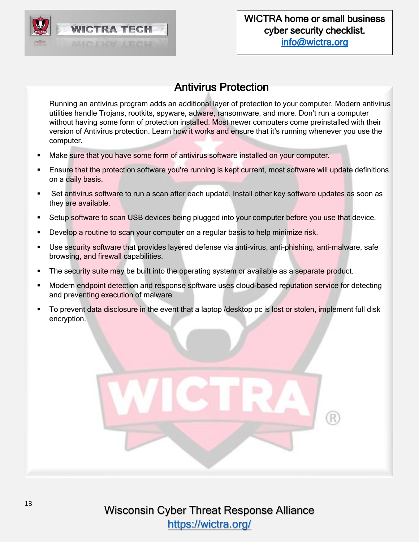

### Antivirus Protection

<span id="page-12-0"></span>Running an antivirus program adds an additional layer of protection to your computer. Modern antivirus utilities handle Trojans, rootkits, spyware, adware, ransomware, and more. Don't run a computer without having some form of protection installed. Most newer computers come preinstalled with their version of Antivirus protection. Learn how it works and ensure that it's running whenever you use the computer.

- Make sure that you have some form of antivirus software installed on your computer.
- Ensure that the protection software you're running is kept current, most software will update definitions on a daily basis.
- Set antivirus software to run a scan after each update. Install other key software updates as soon as they are available.
- **•** Setup software to scan USB devices being plugged into your computer before you use that device.
- **•** Develop a routine to scan your computer on a regular basis to help minimize risk.
- Use security software that provides layered defense via anti-virus, anti-phishing, anti-malware, safe browsing, and firewall capabilities.
- The security suite may be built into the operating system or available as a separate product.
- Modern endpoint detection and response software uses cloud-based reputation service for detecting and preventing execution of malware.
- To prevent data disclosure in the event that a laptop /desktop pc is lost or stolen, implement full disk encryption.

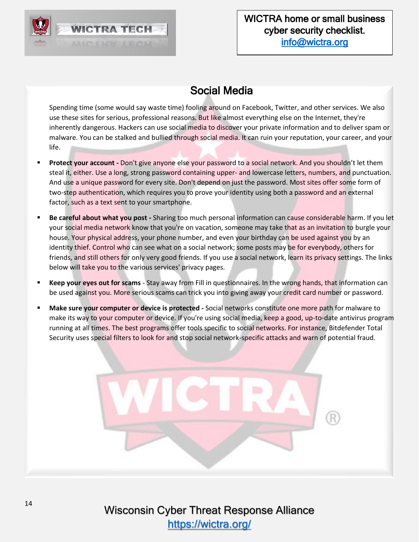

## Social Media

<span id="page-13-0"></span>Spending time (some would say waste time) fooling around on Facebook, Twitter, and other services. We also use these sites for serious, professional reasons. But like almost everything else on the Internet, they're inherently dangerous. Hackers can use social media to discover your private information and to deliver spam or malware. You can be stalked and bullied through social media. It can ruin your reputation, your career, and your life.

- Protect your account Don't give anyone else your password to a social network. And you shouldn't let them steal it, either. Use a long, strong password containing upper- and lowercase letters, numbers, and punctuation. And use a unique password for every site. Don't depend on just the password. Most sites offer some form of two-step authentication, which requires you to prove your identity using both a password and an external factor, such as a text sent to your smartphone.
- **E** Be careful about what you post Sharing too much personal information can cause considerable harm. If you let your social media network know that you're on vacation, someone may take that as an invitation to burgle your house. Your physical address, your phone number, and even your birthday can be used against you by an identity thief. Control who can see what on a social network; some posts may be for everybody, others for friends, and still others for only very good friends. If you use a social network, learn its privacy settings. The links below will take you to the various services' privacy pages.
- **Keep your eyes out for scams** Stay away from Fill in questionnaires. In the wrong hands, that information can be used against you. More serious scams can trick you into giving away your credit card number or password.
- Make sure your computer or device is protected Social networks constitute one more path for malware to make its way to your computer or device. If you're using social media, keep a good, up-to-date antivirus program running at all times. The best programs offer tools specific to social networks. For instance, Bitdefender Total Security uses special filters to look for and stop social network-specific attacks and warn of potential fraud.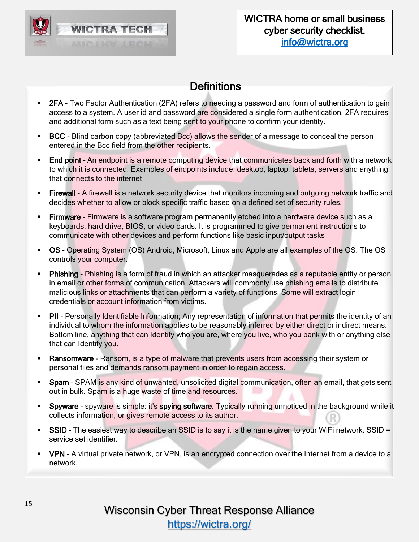

## **Definitions**

- <span id="page-14-0"></span>■ 2FA - Two Factor Authentication (2FA) refers to needing a password and form of authentication to gain access to a system. A user id and password are considered a single form authentication. 2FA requires and additional form such as a text being sent to your phone to confirm your identity.
- **BCC** Blind carbon copy (abbreviated Bcc) allows the sender of a message to conceal the person entered in the Bcc field from the other recipients.
- **End point** An endpoint is a remote computing device that communicates back and forth with a network to which it is connected. Examples of endpoints include: desktop, laptop, tablets, servers and anything that connects to the internet
- **Eirewall A firewall is a network security device that monitors incoming and outgoing network traffic and** decides whether to allow or block specific traffic based on a defined set of security rules.
- **Firmware** Firmware is a software program permanently etched into a hardware device such as a keyboards, hard drive, BIOS, or video cards. It is programmed to give permanent instructions to communicate with other devices and perform functions like basic input/output tasks
- OS Operating System (OS) Android, Microsoft, Linux and Apple are all examples of the OS. The OS controls your computer.
- **Phishing** Phishing is a form of fraud in which an attacker masquerades as a reputable entity or person in email or other forms of communication. Attackers will commonly use phishing emails to distribute malicious links or attachments that can perform a variety of functions. Some will extract login credentials or account information from victims.
- **PII** Personally Identifiable Information; Any representation of information that permits the identity of an individual to whom the information applies to be reasonably inferred by either direct or indirect means. Bottom line, anything that can Identify who you are, where you live, who you bank with or anything else that can Identify you.
- **EXEL ASSED FOR A REASS ASSET ASSET ASSET A** Reason water of that system or **Reast A Reast A Reast A Reast A Reast A** Reast and their system or personal files and demands ransom payment in order to regain access.
- **Spam** SPAM is any kind of unwanted, unsolicited digital communication, often an email, that gets sent out in bulk. Spam is a huge waste of time and resources.
- **Spyware** spyware is simple: it's spying software. Typically running unnoticed in the background while it collects information, or gives remote access to its author.
- **SSID** The easiest way to describe an SSID is to say it is the name given to your WiFi network. SSID = service set identifier.
- VPN A virtual private network, or VPN, is an encrypted connection over the Internet from a device to a network.